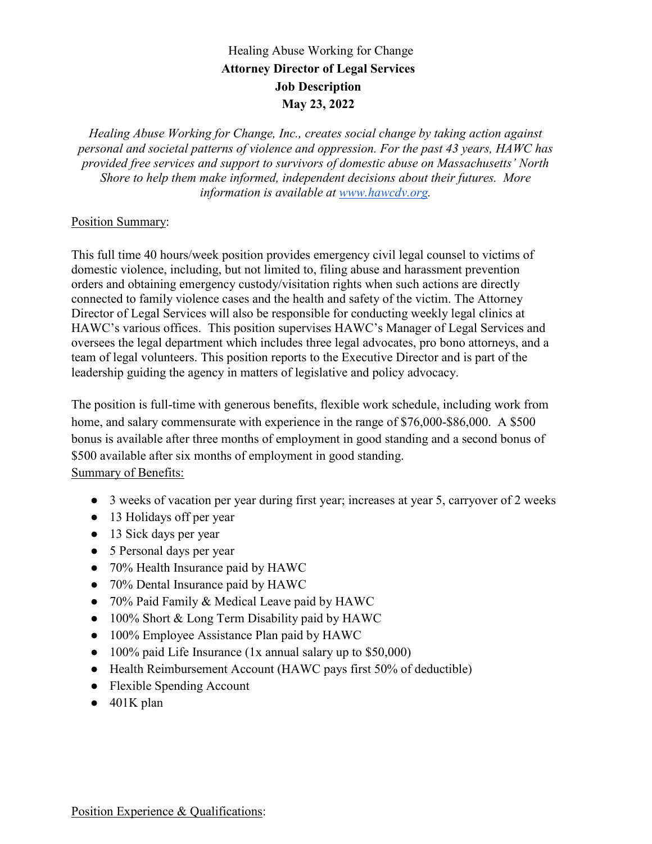## Healing Abuse Working for Change **Attorney Director of Legal Services Job Description May 23, 2022**

*Healing Abuse Working for Change, Inc., creates social change by taking action against personal and societal patterns of violence and oppression. For the past 43 years, HAWC has provided free services and support to survivors of domestic abuse on Massachusetts' North Shore to help them make informed, independent decisions about their futures. More information is available at www.hawcdv.org.*

## Position Summary:

This full time 40 hours/week position provides emergency civil legal counsel to victims of domestic violence, including, but not limited to, filing abuse and harassment prevention orders and obtaining emergency custody/visitation rights when such actions are directly connected to family violence cases and the health and safety of the victim. The Attorney Director of Legal Services will also be responsible for conducting weekly legal clinics at HAWC's various offices. This position supervises HAWC's Manager of Legal Services and oversees the legal department which includes three legal advocates, pro bono attorneys, and a team of legal volunteers. This position reports to the Executive Director and is part of the leadership guiding the agency in matters of legislative and policy advocacy.

The position is full-time with generous benefits, flexible work schedule, including work from home, and salary commensurate with experience in the range of \$76,000-\$86,000. A \$500 bonus is available after three months of employment in good standing and a second bonus of \$500 available after six months of employment in good standing. Summary of Benefits:

- 3 weeks of vacation per year during first year; increases at year 5, carryover of 2 weeks
- 13 Holidays off per year
- 13 Sick days per year
- 5 Personal days per year
- 70% Health Insurance paid by HAWC
- 70% Dental Insurance paid by HAWC
- 70% Paid Family & Medical Leave paid by HAWC
- 100% Short & Long Term Disability paid by HAWC
- 100% Employee Assistance Plan paid by HAWC
- 100% paid Life Insurance (1x annual salary up to \$50,000)
- Health Reimbursement Account (HAWC pays first 50% of deductible)
- Flexible Spending Account
- $\bullet$  401K plan